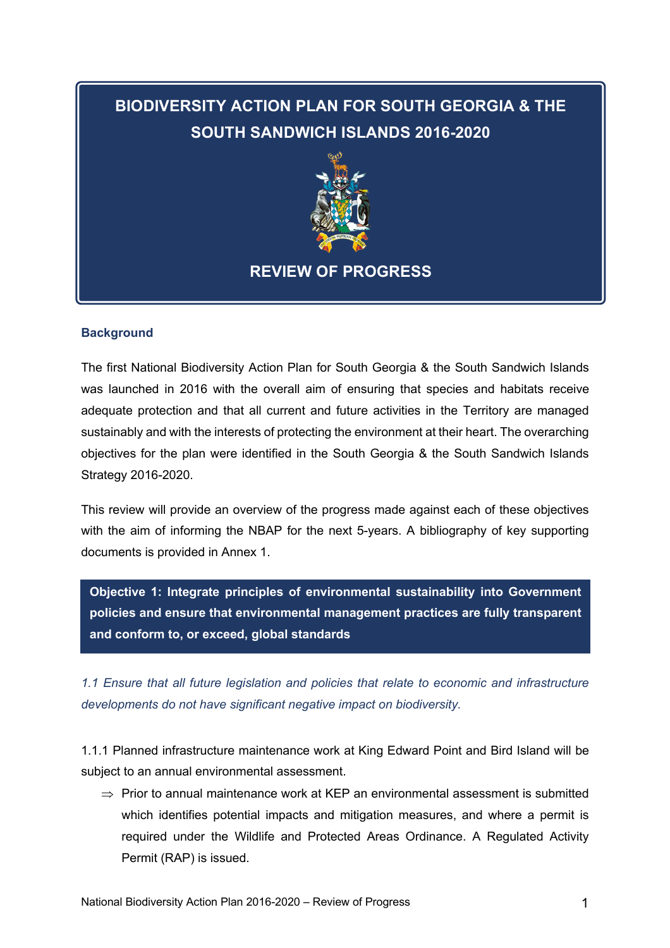# **BIODIVERSITY ACTION PLAN FOR SOUTH GEORGIA & THE SOUTH SANDWICH ISLANDS 2016-2020**



## **REVIEW OF PROGRESS**

#### **Background**

The first National Biodiversity Action Plan for South Georgia & the South Sandwich Islands was launched in 2016 with the overall aim of ensuring that species and habitats receive adequate protection and that all current and future activities in the Territory are managed sustainably and with the interests of protecting the environment at their heart. The overarching objectives for the plan were identified in the South Georgia & the South Sandwich Islands Strategy 2016-2020.

This review will provide an overview of the progress made against each of these objectives with the aim of informing the NBAP for the next 5-years. A bibliography of key supporting documents is provided in Annex 1.

**Objective 1: Integrate principles of environmental sustainability into Government policies and ensure that environmental management practices are fully transparent and conform to, or exceed, global standards**

*1.1 Ensure that all future legislation and policies that relate to economic and infrastructure developments do not have significant negative impact on biodiversity.* 

1.1.1 Planned infrastructure maintenance work at King Edward Point and Bird Island will be subject to an annual environmental assessment.

 $\Rightarrow$  Prior to annual maintenance work at KEP an environmental assessment is submitted which identifies potential impacts and mitigation measures, and where a permit is required under the Wildlife and Protected Areas Ordinance. A Regulated Activity Permit (RAP) is issued.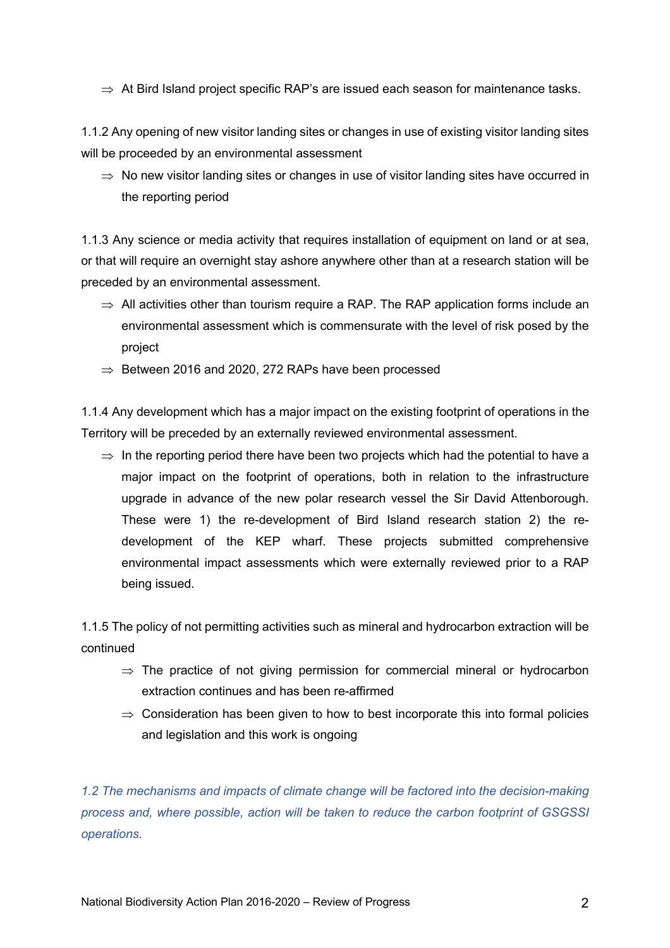$\Rightarrow$  At Bird Island project specific RAP's are issued each season for maintenance tasks.

1.1.2 Any opening of new visitor landing sites or changes in use of existing visitor landing sites will be proceeded by an environmental assessment

 $\Rightarrow$  No new visitor landing sites or changes in use of visitor landing sites have occurred in the reporting period

1.1.3 Any science or media activity that requires installation of equipment on land or at sea, or that will require an overnight stay ashore anywhere other than at a research station will be preceded by an environmental assessment.

- $\Rightarrow$  All activities other than tourism require a RAP. The RAP application forms include an environmental assessment which is commensurate with the level of risk posed by the project
- $\Rightarrow$  Between 2016 and 2020, 272 RAPs have been processed

1.1.4 Any development which has a major impact on the existing footprint of operations in the Territory will be preceded by an externally reviewed environmental assessment.

 $\Rightarrow$  In the reporting period there have been two projects which had the potential to have a major impact on the footprint of operations, both in relation to the infrastructure upgrade in advance of the new polar research vessel the Sir David Attenborough. These were 1) the re-development of Bird Island research station 2) the redevelopment of the KEP wharf. These projects submitted comprehensive environmental impact assessments which were externally reviewed prior to a RAP being issued.

1.1.5 The policy of not permitting activities such as mineral and hydrocarbon extraction will be continued

- $\Rightarrow$  The practice of not giving permission for commercial mineral or hydrocarbon extraction continues and has been re-affirmed
- $\Rightarrow$  Consideration has been given to how to best incorporate this into formal policies and legislation and this work is ongoing

*1.2 The mechanisms and impacts of climate change will be factored into the decision-making process and, where possible, action will be taken to reduce the carbon footprint of GSGSSI operations.*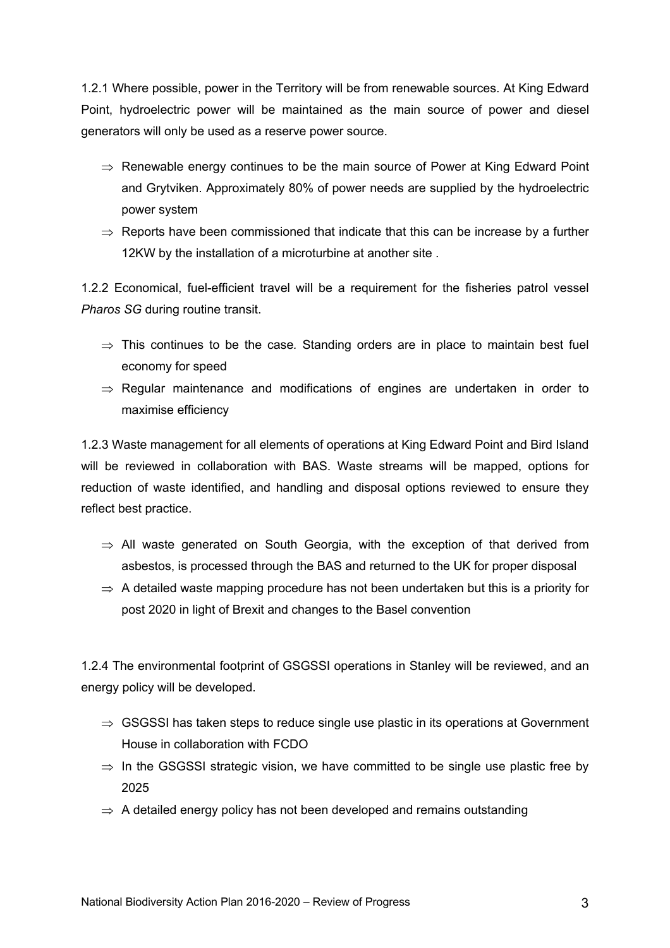1.2.1 Where possible, power in the Territory will be from renewable sources. At King Edward Point, hydroelectric power will be maintained as the main source of power and diesel generators will only be used as a reserve power source.

- $\Rightarrow$  Renewable energy continues to be the main source of Power at King Edward Point and Grytviken. Approximately 80% of power needs are supplied by the hydroelectric power system
- $\Rightarrow$  Reports have been commissioned that indicate that this can be increase by a further 12KW by the installation of a microturbine at another site .

1.2.2 Economical, fuel-efficient travel will be a requirement for the fisheries patrol vessel *Pharos SG* during routine transit.

- $\Rightarrow$  This continues to be the case. Standing orders are in place to maintain best fuel economy for speed
- $\Rightarrow$  Regular maintenance and modifications of engines are undertaken in order to maximise efficiency

1.2.3 Waste management for all elements of operations at King Edward Point and Bird Island will be reviewed in collaboration with BAS. Waste streams will be mapped, options for reduction of waste identified, and handling and disposal options reviewed to ensure they reflect best practice.

- $\Rightarrow$  All waste generated on South Georgia, with the exception of that derived from asbestos, is processed through the BAS and returned to the UK for proper disposal
- $\Rightarrow$  A detailed waste mapping procedure has not been undertaken but this is a priority for post 2020 in light of Brexit and changes to the Basel convention

1.2.4 The environmental footprint of GSGSSI operations in Stanley will be reviewed, and an energy policy will be developed.

- $\Rightarrow$  GSGSSI has taken steps to reduce single use plastic in its operations at Government House in collaboration with FCDO
- $\Rightarrow$  In the GSGSSI strategic vision, we have committed to be single use plastic free by 2025
- $\Rightarrow$  A detailed energy policy has not been developed and remains outstanding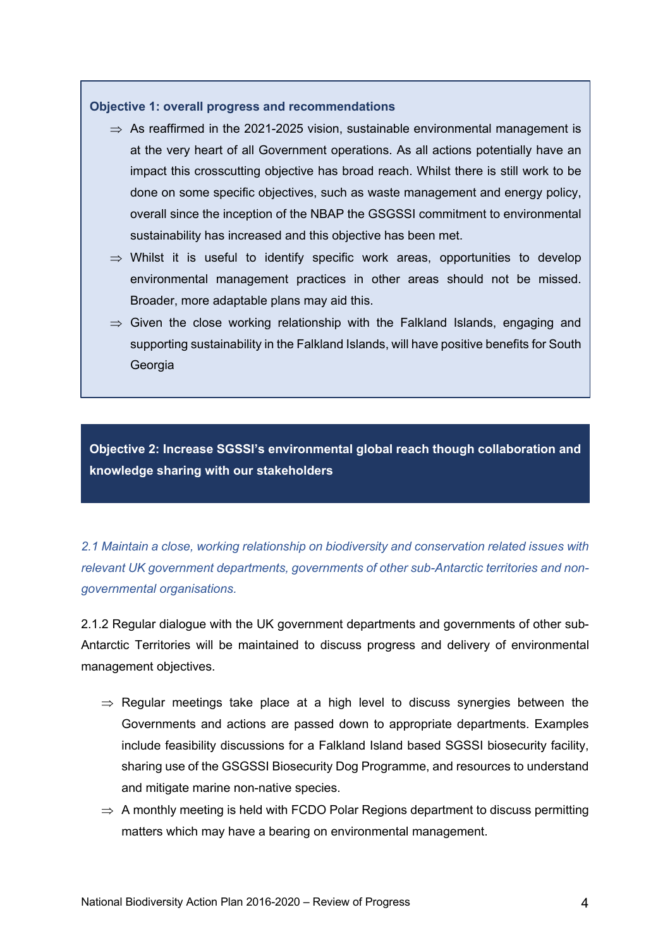#### **Objective 1: overall progress and recommendations**

- $\Rightarrow$  As reaffirmed in the 2021-2025 vision, sustainable environmental management is at the very heart of all Government operations. As all actions potentially have an impact this crosscutting objective has broad reach. Whilst there is still work to be done on some specific objectives, such as waste management and energy policy, overall since the inception of the NBAP the GSGSSI commitment to environmental sustainability has increased and this objective has been met.
- $\Rightarrow$  Whilst it is useful to identify specific work areas, opportunities to develop environmental management practices in other areas should not be missed. Broader, more adaptable plans may aid this.
- $\Rightarrow$  Given the close working relationship with the Falkland Islands, engaging and supporting sustainability in the Falkland Islands, will have positive benefits for South Georgia

**Objective 2: Increase SGSSI's environmental global reach though collaboration and knowledge sharing with our stakeholders**

*2.1 Maintain a close, working relationship on biodiversity and conservation related issues with relevant UK government departments, governments of other sub-Antarctic territories and nongovernmental organisations.*

2.1.2 Regular dialogue with the UK government departments and governments of other sub-Antarctic Territories will be maintained to discuss progress and delivery of environmental management objectives.

- $\Rightarrow$  Regular meetings take place at a high level to discuss synergies between the Governments and actions are passed down to appropriate departments. Examples include feasibility discussions for a Falkland Island based SGSSI biosecurity facility, sharing use of the GSGSSI Biosecurity Dog Programme, and resources to understand and mitigate marine non-native species.
- $\Rightarrow$  A monthly meeting is held with FCDO Polar Regions department to discuss permitting matters which may have a bearing on environmental management.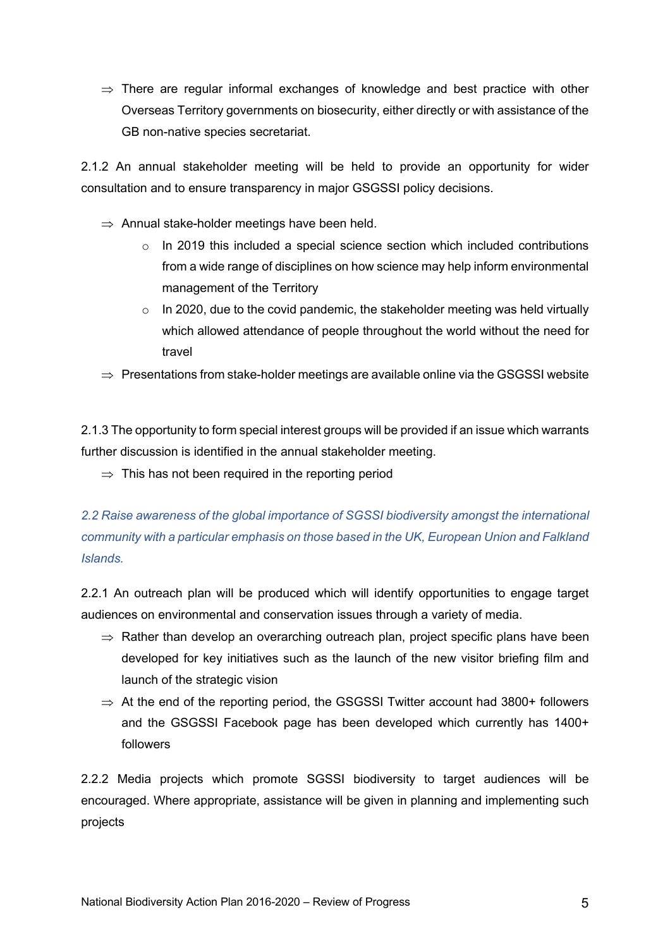$\Rightarrow$  There are regular informal exchanges of knowledge and best practice with other Overseas Territory governments on biosecurity, either directly or with assistance of the GB non-native species secretariat.

2.1.2 An annual stakeholder meeting will be held to provide an opportunity for wider consultation and to ensure transparency in major GSGSSI policy decisions.

- $\Rightarrow$  Annual stake-holder meetings have been held.
	- $\circ$  In 2019 this included a special science section which included contributions from a wide range of disciplines on how science may help inform environmental management of the Territory
	- $\circ$  In 2020, due to the covid pandemic, the stakeholder meeting was held virtually which allowed attendance of people throughout the world without the need for travel
- $\Rightarrow$  Presentations from stake-holder meetings are available online via the GSGSSI website

2.1.3 The opportunity to form special interest groups will be provided if an issue which warrants further discussion is identified in the annual stakeholder meeting.

 $\Rightarrow$  This has not been required in the reporting period

*2.2 Raise awareness of the global importance of SGSSI biodiversity amongst the international community with a particular emphasis on those based in the UK, European Union and Falkland Islands.*

2.2.1 An outreach plan will be produced which will identify opportunities to engage target audiences on environmental and conservation issues through a variety of media.

- $\Rightarrow$  Rather than develop an overarching outreach plan, project specific plans have been developed for key initiatives such as the launch of the new visitor briefing film and launch of the strategic vision
- $\Rightarrow$  At the end of the reporting period, the GSGSSI Twitter account had 3800+ followers and the GSGSSI Facebook page has been developed which currently has 1400+ followers

2.2.2 Media projects which promote SGSSI biodiversity to target audiences will be encouraged. Where appropriate, assistance will be given in planning and implementing such projects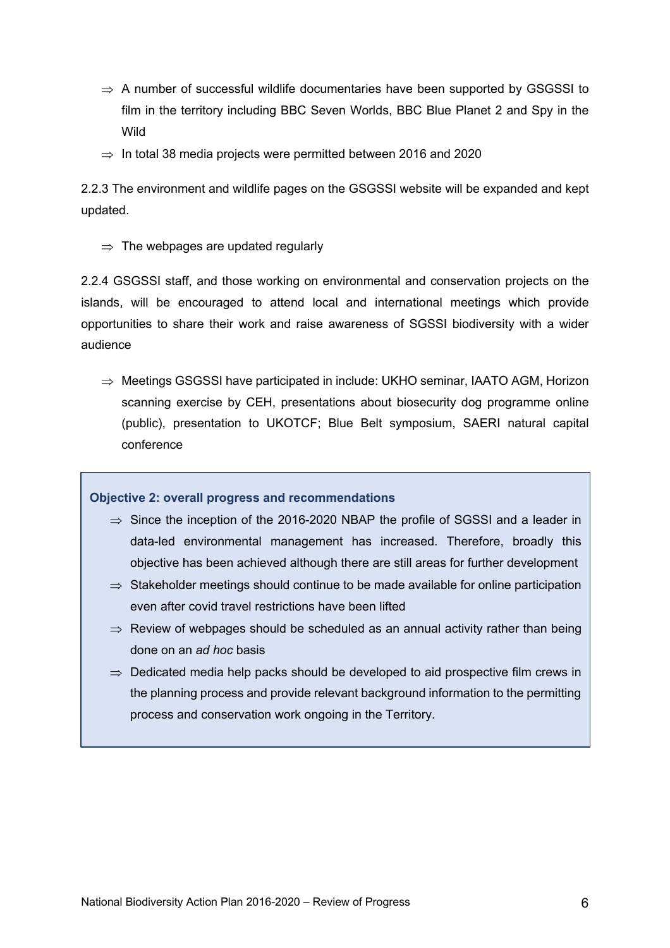- $\Rightarrow$  A number of successful wildlife documentaries have been supported by GSGSSI to film in the territory including BBC Seven Worlds, BBC Blue Planet 2 and Spy in the Wild
- $\Rightarrow$  In total 38 media projects were permitted between 2016 and 2020

2.2.3 The environment and wildlife pages on the GSGSSI website will be expanded and kept updated.

 $\Rightarrow$  The webpages are updated regularly

2.2.4 GSGSSI staff, and those working on environmental and conservation projects on the islands, will be encouraged to attend local and international meetings which provide opportunities to share their work and raise awareness of SGSSI biodiversity with a wider audience

 $\Rightarrow$  Meetings GSGSSI have participated in include: UKHO seminar, IAATO AGM, Horizon scanning exercise by CEH, presentations about biosecurity dog programme online (public), presentation to UKOTCF; Blue Belt symposium, SAERI natural capital conference

**Objective 2: overall progress and recommendations**

- $\Rightarrow$  Since the inception of the 2016-2020 NBAP the profile of SGSSI and a leader in data-led environmental management has increased. Therefore, broadly this objective has been achieved although there are still areas for further development
- $\Rightarrow$  Stakeholder meetings should continue to be made available for online participation even after covid travel restrictions have been lifted
- $\Rightarrow$  Review of webpages should be scheduled as an annual activity rather than being done on an *ad hoc* basis
- $\Rightarrow$  Dedicated media help packs should be developed to aid prospective film crews in the planning process and provide relevant background information to the permitting process and conservation work ongoing in the Territory.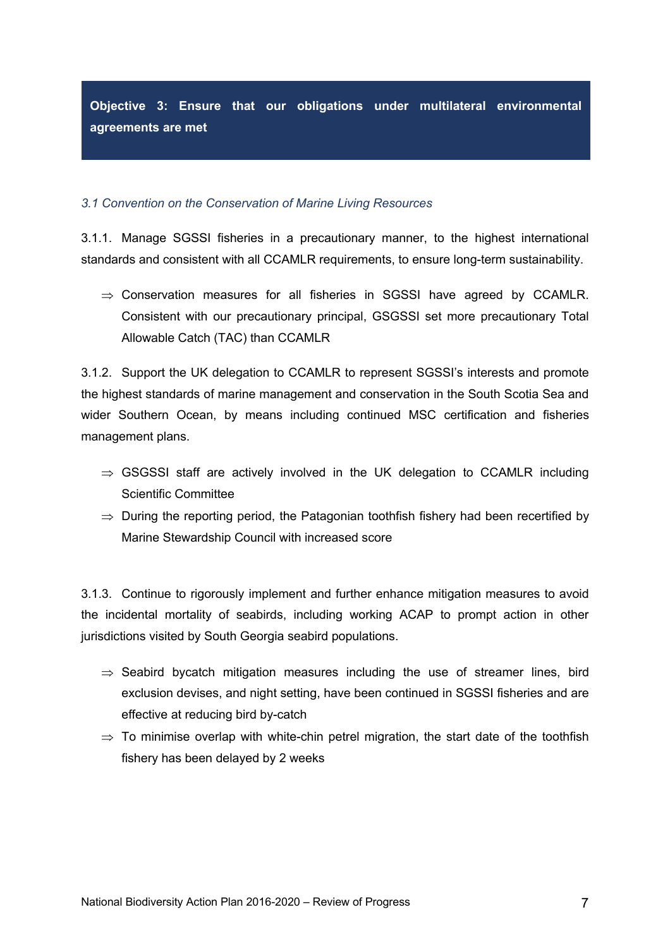**Objective 3: Ensure that our obligations under multilateral environmental agreements are met**

### *3.1 Convention on the Conservation of Marine Living Resources*

3.1.1. Manage SGSSI fisheries in a precautionary manner, to the highest international standards and consistent with all CCAMLR requirements, to ensure long-term sustainability.

 $\Rightarrow$  Conservation measures for all fisheries in SGSSI have agreed by CCAMLR. Consistent with our precautionary principal, GSGSSI set more precautionary Total Allowable Catch (TAC) than CCAMLR

3.1.2. Support the UK delegation to CCAMLR to represent SGSSI's interests and promote the highest standards of marine management and conservation in the South Scotia Sea and wider Southern Ocean, by means including continued MSC certification and fisheries management plans.

- $\Rightarrow$  GSGSSI staff are actively involved in the UK delegation to CCAMLR including Scientific Committee
- $\Rightarrow$  During the reporting period, the Patagonian toothfish fishery had been recertified by Marine Stewardship Council with increased score

3.1.3. Continue to rigorously implement and further enhance mitigation measures to avoid the incidental mortality of seabirds, including working ACAP to prompt action in other jurisdictions visited by South Georgia seabird populations.

- $\Rightarrow$  Seabird bycatch mitigation measures including the use of streamer lines, bird exclusion devises, and night setting, have been continued in SGSSI fisheries and are effective at reducing bird by-catch
- $\Rightarrow$  To minimise overlap with white-chin petrel migration, the start date of the toothfish fishery has been delayed by 2 weeks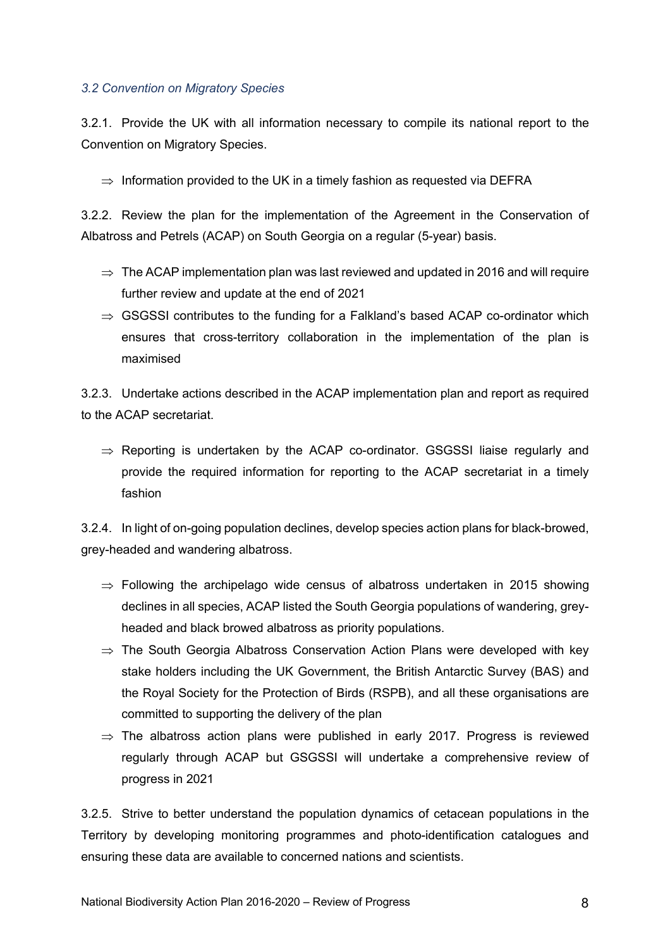### *3.2 Convention on Migratory Species*

3.2.1. Provide the UK with all information necessary to compile its national report to the Convention on Migratory Species.

 $\Rightarrow$  Information provided to the UK in a timely fashion as requested via DEFRA

3.2.2. Review the plan for the implementation of the Agreement in the Conservation of Albatross and Petrels (ACAP) on South Georgia on a regular (5-year) basis.

- $\Rightarrow$  The ACAP implementation plan was last reviewed and updated in 2016 and will require further review and update at the end of 2021
- $\Rightarrow$  GSGSSI contributes to the funding for a Falkland's based ACAP co-ordinator which ensures that cross-territory collaboration in the implementation of the plan is maximised

3.2.3. Undertake actions described in the ACAP implementation plan and report as required to the ACAP secretariat.

 $\Rightarrow$  Reporting is undertaken by the ACAP co-ordinator. GSGSSI liaise regularly and provide the required information for reporting to the ACAP secretariat in a timely fashion

3.2.4. In light of on-going population declines, develop species action plans for black-browed, grey-headed and wandering albatross.

- $\Rightarrow$  Following the archipelago wide census of albatross undertaken in 2015 showing declines in all species, ACAP listed the South Georgia populations of wandering, greyheaded and black browed albatross as priority populations.
- $\Rightarrow$  The South Georgia Albatross Conservation Action Plans were developed with key stake holders including the UK Government, the British Antarctic Survey (BAS) and the Royal Society for the Protection of Birds (RSPB), and all these organisations are committed to supporting the delivery of the plan
- $\Rightarrow$  The albatross action plans were published in early 2017. Progress is reviewed regularly through ACAP but GSGSSI will undertake a comprehensive review of progress in 2021

3.2.5. Strive to better understand the population dynamics of cetacean populations in the Territory by developing monitoring programmes and photo-identification catalogues and ensuring these data are available to concerned nations and scientists.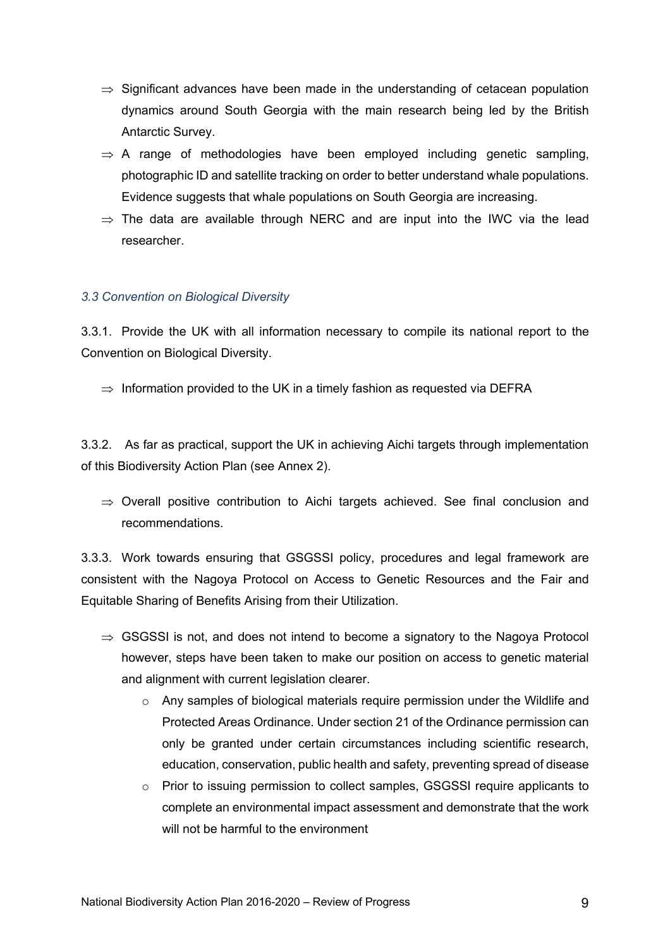- $\Rightarrow$  Significant advances have been made in the understanding of cetacean population dynamics around South Georgia with the main research being led by the British Antarctic Survey.
- $\Rightarrow$  A range of methodologies have been employed including genetic sampling, photographic ID and satellite tracking on order to better understand whale populations. Evidence suggests that whale populations on South Georgia are increasing.
- $\Rightarrow$  The data are available through NERC and are input into the IWC via the lead researcher.

### *3.3 Convention on Biological Diversity*

3.3.1. Provide the UK with all information necessary to compile its national report to the Convention on Biological Diversity.

 $\Rightarrow$  Information provided to the UK in a timely fashion as requested via DEFRA

3.3.2. As far as practical, support the UK in achieving Aichi targets through implementation of this Biodiversity Action Plan (see Annex 2).

 $\Rightarrow$  Overall positive contribution to Aichi targets achieved. See final conclusion and recommendations.

3.3.3. Work towards ensuring that GSGSSI policy, procedures and legal framework are consistent with the Nagoya Protocol on Access to Genetic Resources and the Fair and Equitable Sharing of Benefits Arising from their Utilization.

- $\Rightarrow$  GSGSSI is not, and does not intend to become a signatory to the Nagoya Protocol however, steps have been taken to make our position on access to genetic material and alignment with current legislation clearer.
	- $\circ$  Any samples of biological materials require permission under the Wildlife and Protected Areas Ordinance. Under section 21 of the Ordinance permission can only be granted under certain circumstances including scientific research, education, conservation, public health and safety, preventing spread of disease
	- o Prior to issuing permission to collect samples, GSGSSI require applicants to complete an environmental impact assessment and demonstrate that the work will not be harmful to the environment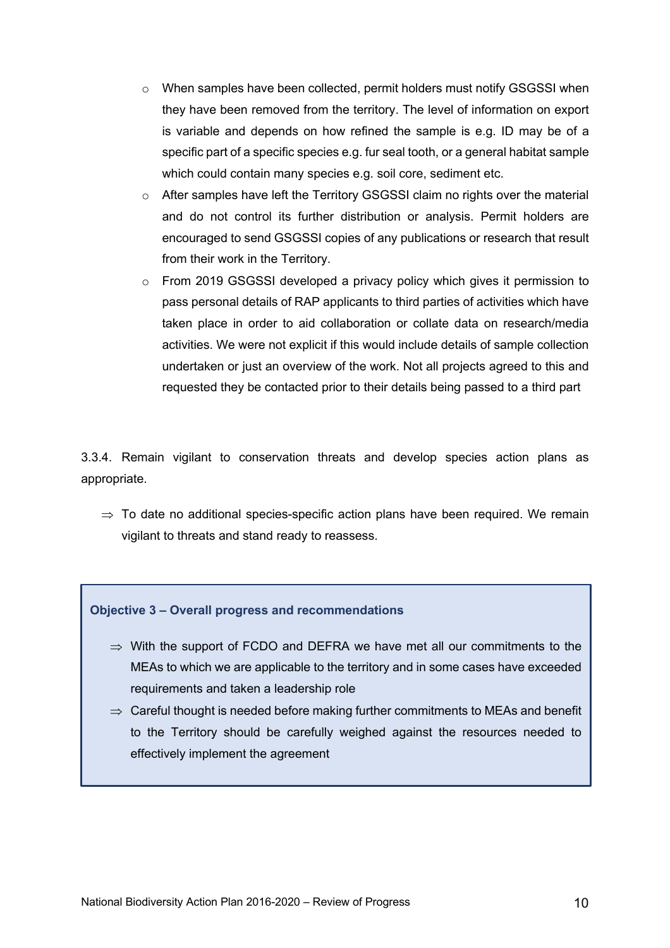- $\circ$  When samples have been collected, permit holders must notify GSGSSI when they have been removed from the territory. The level of information on export is variable and depends on how refined the sample is e.g. ID may be of a specific part of a specific species e.g. fur seal tooth, or a general habitat sample which could contain many species e.g. soil core, sediment etc.
- $\circ$  After samples have left the Territory GSGSSI claim no rights over the material and do not control its further distribution or analysis. Permit holders are encouraged to send GSGSSI copies of any publications or research that result from their work in the Territory.
- $\circ$  From 2019 GSGSSI developed a privacy policy which gives it permission to pass personal details of RAP applicants to third parties of activities which have taken place in order to aid collaboration or collate data on research/media activities. We were not explicit if this would include details of sample collection undertaken or just an overview of the work. Not all projects agreed to this and requested they be contacted prior to their details being passed to a third part

3.3.4. Remain vigilant to conservation threats and develop species action plans as appropriate.

 $\Rightarrow$  To date no additional species-specific action plans have been required. We remain vigilant to threats and stand ready to reassess.

**Objective 3 – Overall progress and recommendations**

- $\Rightarrow$  With the support of FCDO and DEFRA we have met all our commitments to the MEAs to which we are applicable to the territory and in some cases have exceeded requirements and taken a leadership role
- $\Rightarrow$  Careful thought is needed before making further commitments to MEAs and benefit to the Territory should be carefully weighed against the resources needed to effectively implement the agreement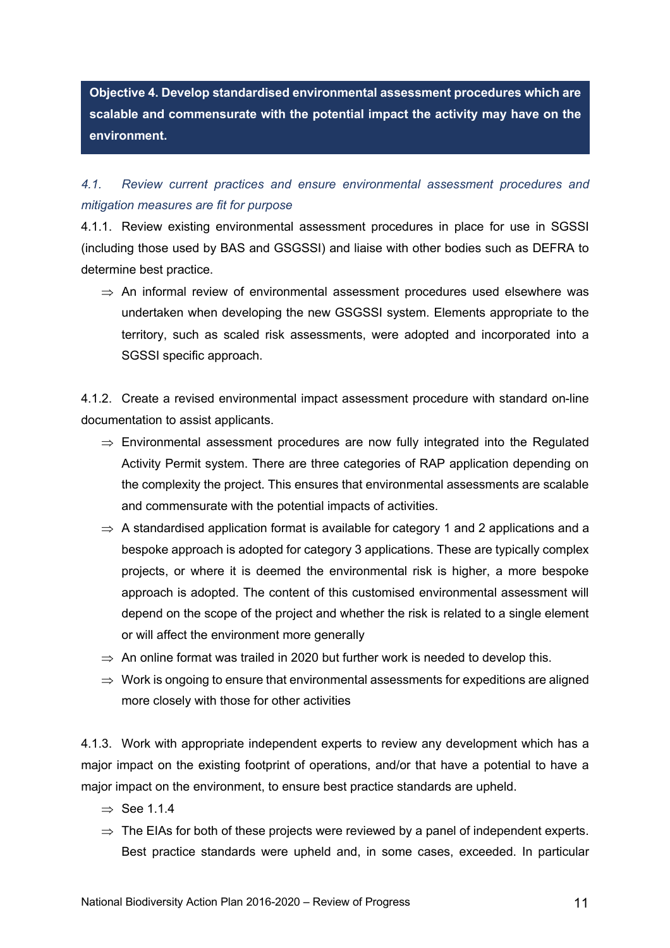**Objective 4. Develop standardised environmental assessment procedures which are scalable and commensurate with the potential impact the activity may have on the environment.**

# *4.1. Review current practices and ensure environmental assessment procedures and mitigation measures are fit for purpose*

4.1.1. Review existing environmental assessment procedures in place for use in SGSSI (including those used by BAS and GSGSSI) and liaise with other bodies such as DEFRA to determine best practice.

 $\Rightarrow$  An informal review of environmental assessment procedures used elsewhere was undertaken when developing the new GSGSSI system. Elements appropriate to the territory, such as scaled risk assessments, were adopted and incorporated into a SGSSI specific approach.

4.1.2. Create a revised environmental impact assessment procedure with standard on-line documentation to assist applicants.

- $\Rightarrow$  Environmental assessment procedures are now fully integrated into the Regulated Activity Permit system. There are three categories of RAP application depending on the complexity the project. This ensures that environmental assessments are scalable and commensurate with the potential impacts of activities.
- $\Rightarrow$  A standardised application format is available for category 1 and 2 applications and a bespoke approach is adopted for category 3 applications. These are typically complex projects, or where it is deemed the environmental risk is higher, a more bespoke approach is adopted. The content of this customised environmental assessment will depend on the scope of the project and whether the risk is related to a single element or will affect the environment more generally
- $\Rightarrow$  An online format was trailed in 2020 but further work is needed to develop this.
- $\Rightarrow$  Work is ongoing to ensure that environmental assessments for expeditions are aligned more closely with those for other activities

4.1.3. Work with appropriate independent experts to review any development which has a major impact on the existing footprint of operations, and/or that have a potential to have a major impact on the environment, to ensure best practice standards are upheld.

- $\Rightarrow$  See 114
- $\Rightarrow$  The EIAs for both of these projects were reviewed by a panel of independent experts. Best practice standards were upheld and, in some cases, exceeded. In particular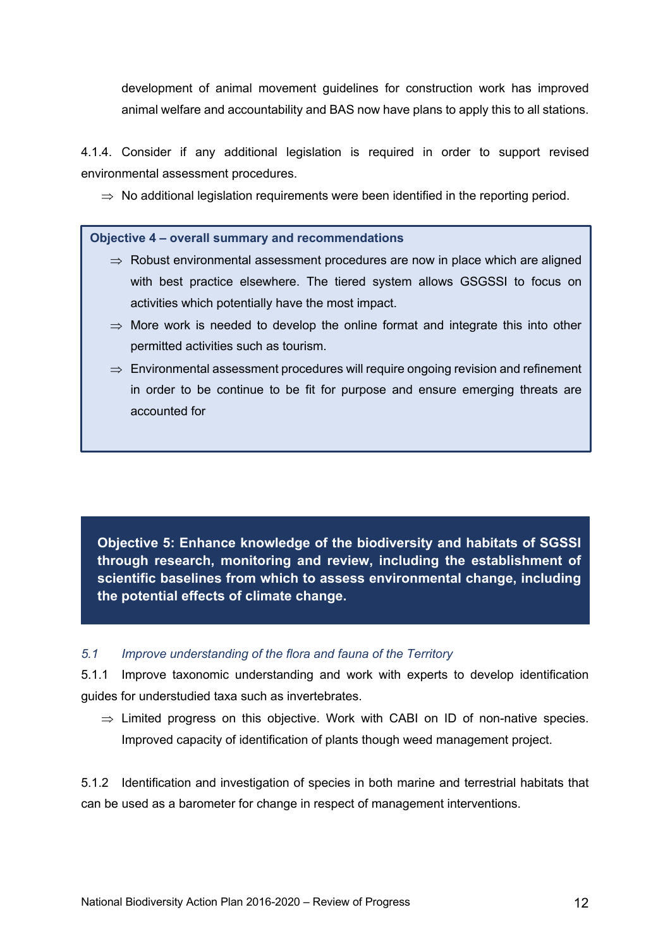development of animal movement guidelines for construction work has improved animal welfare and accountability and BAS now have plans to apply this to all stations.

4.1.4. Consider if any additional legislation is required in order to support revised environmental assessment procedures.

 $\Rightarrow$  No additional legislation requirements were been identified in the reporting period.

**Objective 4 – overall summary and recommendations**

- $\Rightarrow$  Robust environmental assessment procedures are now in place which are aligned with best practice elsewhere. The tiered system allows GSGSSI to focus on activities which potentially have the most impact.
- $\Rightarrow$  More work is needed to develop the online format and integrate this into other permitted activities such as tourism.
- $\Rightarrow$  Environmental assessment procedures will require ongoing revision and refinement in order to be continue to be fit for purpose and ensure emerging threats are accounted for

**Objective 5: Enhance knowledge of the biodiversity and habitats of SGSSI through research, monitoring and review, including the establishment of scientific baselines from which to assess environmental change, including the potential effects of climate change.**

### *5.1 Improve understanding of the flora and fauna of the Territory*

5.1.1 Improve taxonomic understanding and work with experts to develop identification guides for understudied taxa such as invertebrates.

 $\Rightarrow$  Limited progress on this objective. Work with CABI on ID of non-native species. Improved capacity of identification of plants though weed management project.

5.1.2 Identification and investigation of species in both marine and terrestrial habitats that can be used as a barometer for change in respect of management interventions.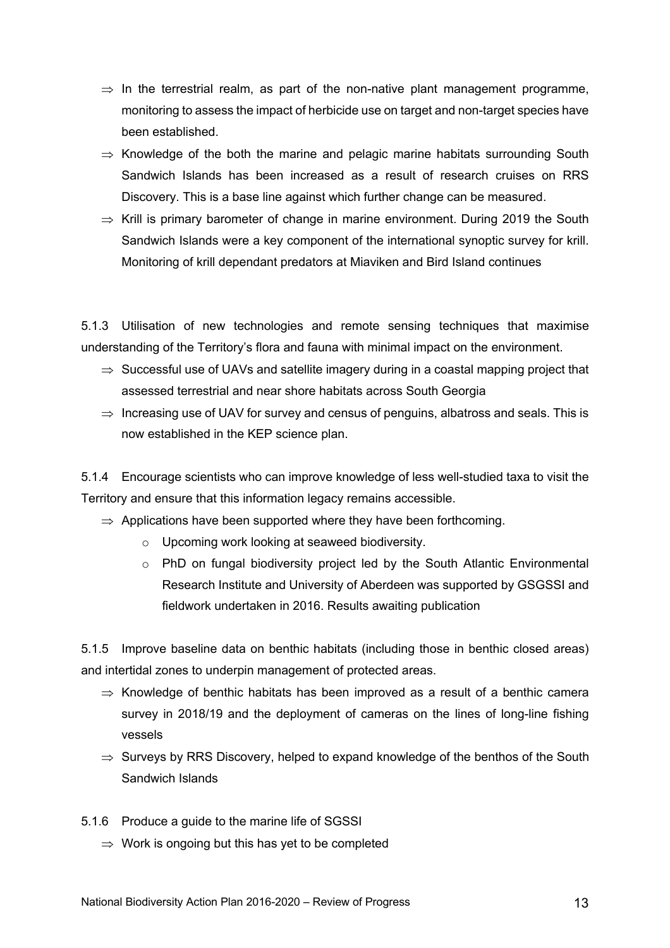- $\Rightarrow$  In the terrestrial realm, as part of the non-native plant management programme, monitoring to assess the impact of herbicide use on target and non-target species have been established.
- $\Rightarrow$  Knowledge of the both the marine and pelagic marine habitats surrounding South Sandwich Islands has been increased as a result of research cruises on RRS Discovery. This is a base line against which further change can be measured.
- $\Rightarrow$  Krill is primary barometer of change in marine environment. During 2019 the South Sandwich Islands were a key component of the international synoptic survey for krill. Monitoring of krill dependant predators at Miaviken and Bird Island continues

5.1.3 Utilisation of new technologies and remote sensing techniques that maximise understanding of the Territory's flora and fauna with minimal impact on the environment.

- $\Rightarrow$  Successful use of UAVs and satellite imagery during in a coastal mapping project that assessed terrestrial and near shore habitats across South Georgia
- $\Rightarrow$  Increasing use of UAV for survey and census of penguins, albatross and seals. This is now established in the KEP science plan.

5.1.4 Encourage scientists who can improve knowledge of less well-studied taxa to visit the Territory and ensure that this information legacy remains accessible.

- $\Rightarrow$  Applications have been supported where they have been forthcoming.
	- o Upcoming work looking at seaweed biodiversity.
	- o PhD on fungal biodiversity project led by the South Atlantic Environmental Research Institute and University of Aberdeen was supported by GSGSSI and fieldwork undertaken in 2016. Results awaiting publication

5.1.5 Improve baseline data on benthic habitats (including those in benthic closed areas) and intertidal zones to underpin management of protected areas.

- $\Rightarrow$  Knowledge of benthic habitats has been improved as a result of a benthic camera survey in 2018/19 and the deployment of cameras on the lines of long-line fishing vessels
- $\Rightarrow$  Surveys by RRS Discovery, helped to expand knowledge of the benthos of the South Sandwich Islands
- 5.1.6 Produce a guide to the marine life of SGSSI
	- $\Rightarrow$  Work is ongoing but this has yet to be completed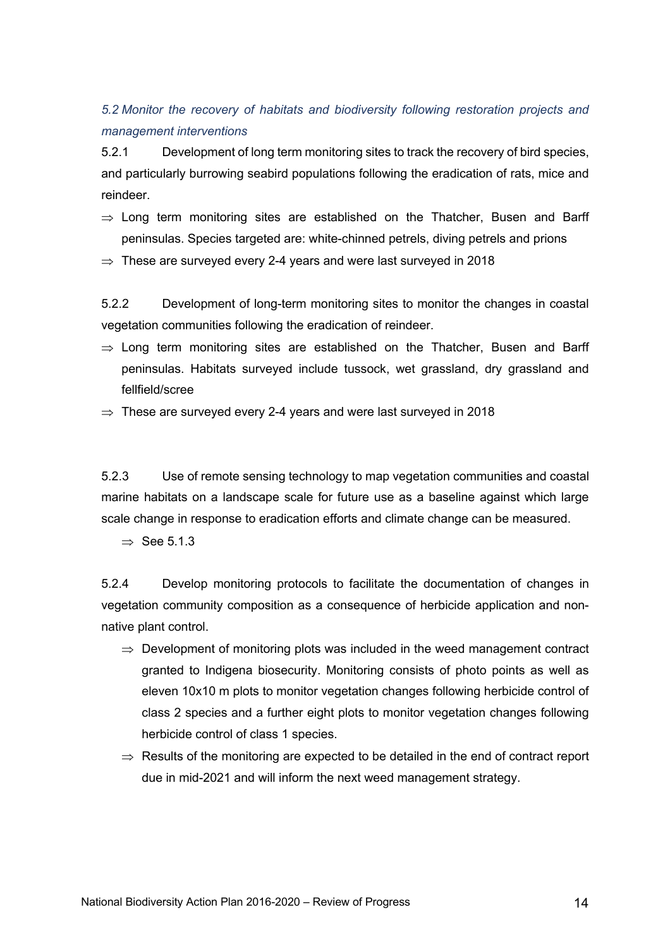### *5.2 Monitor the recovery of habitats and biodiversity following restoration projects and management interventions*

5.2.1 Development of long term monitoring sites to track the recovery of bird species, and particularly burrowing seabird populations following the eradication of rats, mice and reindeer.

- $\Rightarrow$  Long term monitoring sites are established on the Thatcher, Busen and Barff peninsulas. Species targeted are: white-chinned petrels, diving petrels and prions
- $\Rightarrow$  These are surveyed every 2-4 years and were last surveyed in 2018

5.2.2 Development of long-term monitoring sites to monitor the changes in coastal vegetation communities following the eradication of reindeer.

- $\Rightarrow$  Long term monitoring sites are established on the Thatcher, Busen and Barff peninsulas. Habitats surveyed include tussock, wet grassland, dry grassland and fellfield/scree
- $\Rightarrow$  These are surveyed every 2-4 years and were last surveyed in 2018

5.2.3 Use of remote sensing technology to map vegetation communities and coastal marine habitats on a landscape scale for future use as a baseline against which large scale change in response to eradication efforts and climate change can be measured.

 $\Rightarrow$  See 5.1.3.

5.2.4 Develop monitoring protocols to facilitate the documentation of changes in vegetation community composition as a consequence of herbicide application and nonnative plant control.

- $\Rightarrow$  Development of monitoring plots was included in the weed management contract granted to Indigena biosecurity. Monitoring consists of photo points as well as eleven 10x10 m plots to monitor vegetation changes following herbicide control of class 2 species and a further eight plots to monitor vegetation changes following herbicide control of class 1 species.
- $\Rightarrow$  Results of the monitoring are expected to be detailed in the end of contract report due in mid-2021 and will inform the next weed management strategy.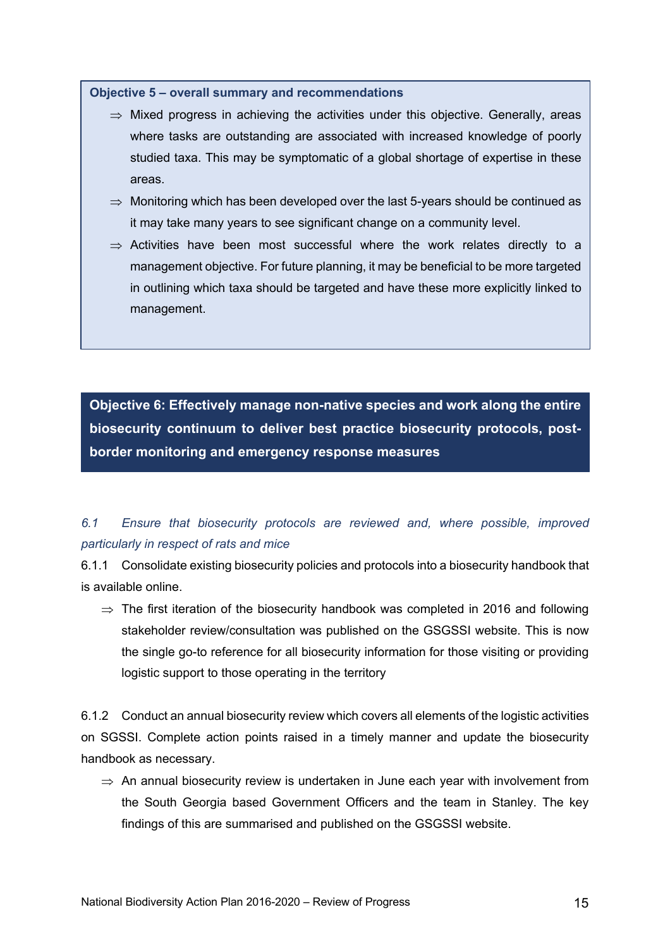#### **Objective 5 – overall summary and recommendations**

- $\Rightarrow$  Mixed progress in achieving the activities under this objective. Generally, areas where tasks are outstanding are associated with increased knowledge of poorly studied taxa. This may be symptomatic of a global shortage of expertise in these areas.
- $\Rightarrow$  Monitoring which has been developed over the last 5-years should be continued as it may take many years to see significant change on a community level.
- $\Rightarrow$  Activities have been most successful where the work relates directly to a management objective. For future planning, it may be beneficial to be more targeted in outlining which taxa should be targeted and have these more explicitly linked to management.

**Objective 6: Effectively manage non-native species and work along the entire biosecurity continuum to deliver best practice biosecurity protocols, postborder monitoring and emergency response measures**

## *6.1 Ensure that biosecurity protocols are reviewed and, where possible, improved particularly in respect of rats and mice*

6.1.1 Consolidate existing biosecurity policies and protocols into a biosecurity handbook that is available online.

 $\Rightarrow$  The first iteration of the biosecurity handbook was completed in 2016 and following stakeholder review/consultation was published on the GSGSSI website. This is now the single go-to reference for all biosecurity information for those visiting or providing logistic support to those operating in the territory

6.1.2 Conduct an annual biosecurity review which covers all elements of the logistic activities on SGSSI. Complete action points raised in a timely manner and update the biosecurity handbook as necessary.

 $\Rightarrow$  An annual biosecurity review is undertaken in June each year with involvement from the South Georgia based Government Officers and the team in Stanley. The key findings of this are summarised and published on the GSGSSI website.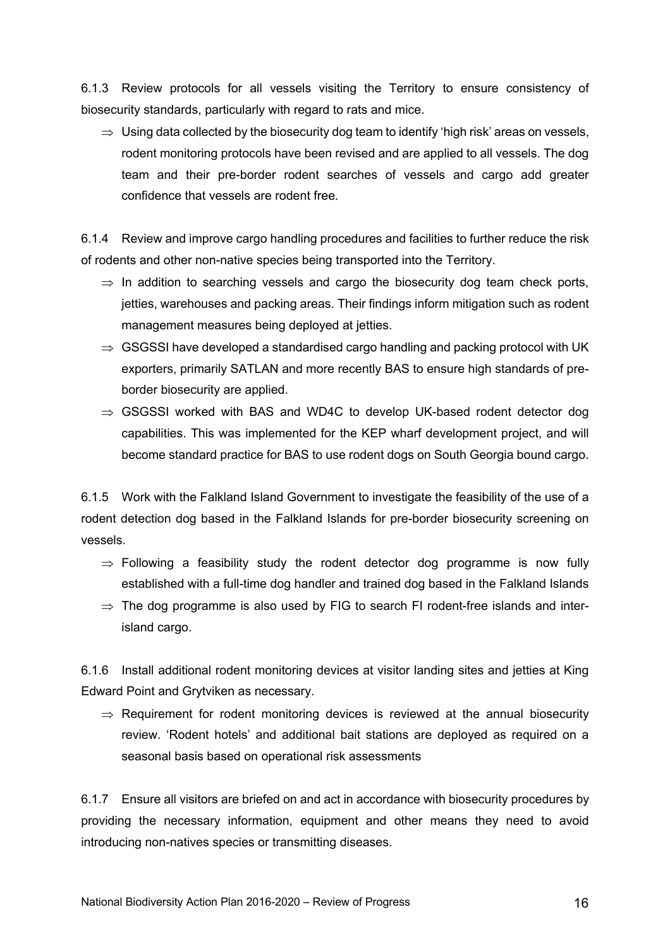6.1.3 Review protocols for all vessels visiting the Territory to ensure consistency of biosecurity standards, particularly with regard to rats and mice.

 $\Rightarrow$  Using data collected by the biosecurity dog team to identify 'high risk' areas on vessels, rodent monitoring protocols have been revised and are applied to all vessels. The dog team and their pre-border rodent searches of vessels and cargo add greater confidence that vessels are rodent free.

6.1.4 Review and improve cargo handling procedures and facilities to further reduce the risk of rodents and other non-native species being transported into the Territory.

- $\Rightarrow$  In addition to searching vessels and cargo the biosecurity dog team check ports, jetties, warehouses and packing areas. Their findings inform mitigation such as rodent management measures being deployed at jetties.
- $\Rightarrow$  GSGSSI have developed a standardised cargo handling and packing protocol with UK exporters, primarily SATLAN and more recently BAS to ensure high standards of preborder biosecurity are applied.
- $\Rightarrow$  GSGSSI worked with BAS and WD4C to develop UK-based rodent detector dog capabilities. This was implemented for the KEP wharf development project, and will become standard practice for BAS to use rodent dogs on South Georgia bound cargo.

6.1.5 Work with the Falkland Island Government to investigate the feasibility of the use of a rodent detection dog based in the Falkland Islands for pre-border biosecurity screening on vessels.

- $\Rightarrow$  Following a feasibility study the rodent detector dog programme is now fully established with a full-time dog handler and trained dog based in the Falkland Islands
- $\Rightarrow$  The dog programme is also used by FIG to search FI rodent-free islands and interisland cargo.

6.1.6 Install additional rodent monitoring devices at visitor landing sites and jetties at King Edward Point and Grytviken as necessary.

 $\Rightarrow$  Requirement for rodent monitoring devices is reviewed at the annual biosecurity review. 'Rodent hotels' and additional bait stations are deployed as required on a seasonal basis based on operational risk assessments

6.1.7 Ensure all visitors are briefed on and act in accordance with biosecurity procedures by providing the necessary information, equipment and other means they need to avoid introducing non-natives species or transmitting diseases.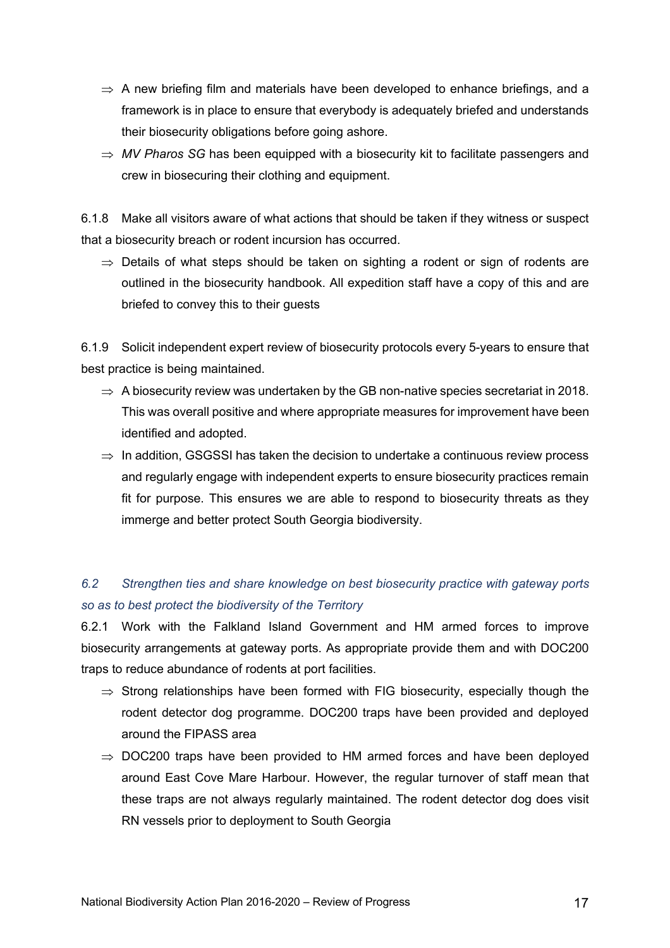- $\Rightarrow$  A new briefing film and materials have been developed to enhance briefings, and a framework is in place to ensure that everybody is adequately briefed and understands their biosecurity obligations before going ashore.
- $\Rightarrow$  MV Pharos SG has been equipped with a biosecurity kit to facilitate passengers and crew in biosecuring their clothing and equipment.

6.1.8 Make all visitors aware of what actions that should be taken if they witness or suspect that a biosecurity breach or rodent incursion has occurred.

 $\Rightarrow$  Details of what steps should be taken on sighting a rodent or sign of rodents are outlined in the biosecurity handbook. All expedition staff have a copy of this and are briefed to convey this to their guests

6.1.9 Solicit independent expert review of biosecurity protocols every 5-years to ensure that best practice is being maintained.

- $\Rightarrow$  A biosecurity review was undertaken by the GB non-native species secretariat in 2018. This was overall positive and where appropriate measures for improvement have been identified and adopted.
- $\Rightarrow$  In addition, GSGSSI has taken the decision to undertake a continuous review process and regularly engage with independent experts to ensure biosecurity practices remain fit for purpose. This ensures we are able to respond to biosecurity threats as they immerge and better protect South Georgia biodiversity.

# *6.2 Strengthen ties and share knowledge on best biosecurity practice with gateway ports so as to best protect the biodiversity of the Territory*

6.2.1 Work with the Falkland Island Government and HM armed forces to improve biosecurity arrangements at gateway ports. As appropriate provide them and with DOC200 traps to reduce abundance of rodents at port facilities.

- $\Rightarrow$  Strong relationships have been formed with FIG biosecurity, especially though the rodent detector dog programme. DOC200 traps have been provided and deployed around the FIPASS area
- $\Rightarrow$  DOC200 traps have been provided to HM armed forces and have been deployed around East Cove Mare Harbour. However, the regular turnover of staff mean that these traps are not always regularly maintained. The rodent detector dog does visit RN vessels prior to deployment to South Georgia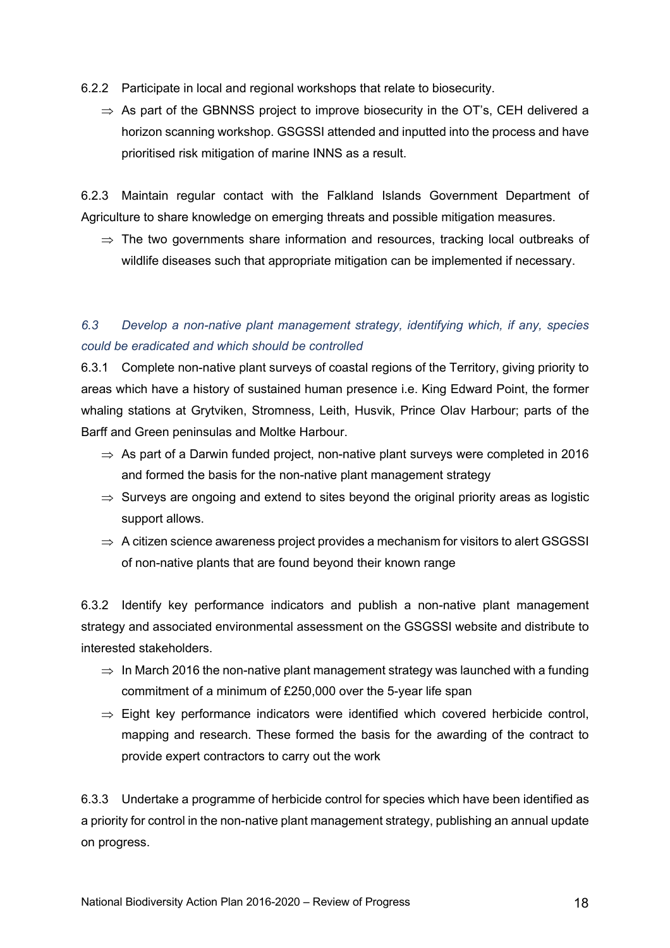- 6.2.2 Participate in local and regional workshops that relate to biosecurity.
	- $\Rightarrow$  As part of the GBNNSS project to improve biosecurity in the OT's, CEH delivered a horizon scanning workshop. GSGSSI attended and inputted into the process and have prioritised risk mitigation of marine INNS as a result.

6.2.3 Maintain regular contact with the Falkland Islands Government Department of Agriculture to share knowledge on emerging threats and possible mitigation measures.

 $\Rightarrow$  The two governments share information and resources, tracking local outbreaks of wildlife diseases such that appropriate mitigation can be implemented if necessary.

# *6.3 Develop a non-native plant management strategy, identifying which, if any, species could be eradicated and which should be controlled*

6.3.1 Complete non-native plant surveys of coastal regions of the Territory, giving priority to areas which have a history of sustained human presence i.e. King Edward Point, the former whaling stations at Grytviken, Stromness, Leith, Husvik, Prince Olav Harbour; parts of the Barff and Green peninsulas and Moltke Harbour.

- $\Rightarrow$  As part of a Darwin funded project, non-native plant surveys were completed in 2016 and formed the basis for the non-native plant management strategy
- $\Rightarrow$  Surveys are ongoing and extend to sites beyond the original priority areas as logistic support allows.
- $\Rightarrow$  A citizen science awareness project provides a mechanism for visitors to alert GSGSSI of non-native plants that are found beyond their known range

6.3.2 Identify key performance indicators and publish a non-native plant management strategy and associated environmental assessment on the GSGSSI website and distribute to interested stakeholders.

- $\Rightarrow$  In March 2016 the non-native plant management strategy was launched with a funding commitment of a minimum of £250,000 over the 5-year life span
- $\Rightarrow$  Eight key performance indicators were identified which covered herbicide control, mapping and research. These formed the basis for the awarding of the contract to provide expert contractors to carry out the work

6.3.3 Undertake a programme of herbicide control for species which have been identified as a priority for control in the non-native plant management strategy, publishing an annual update on progress.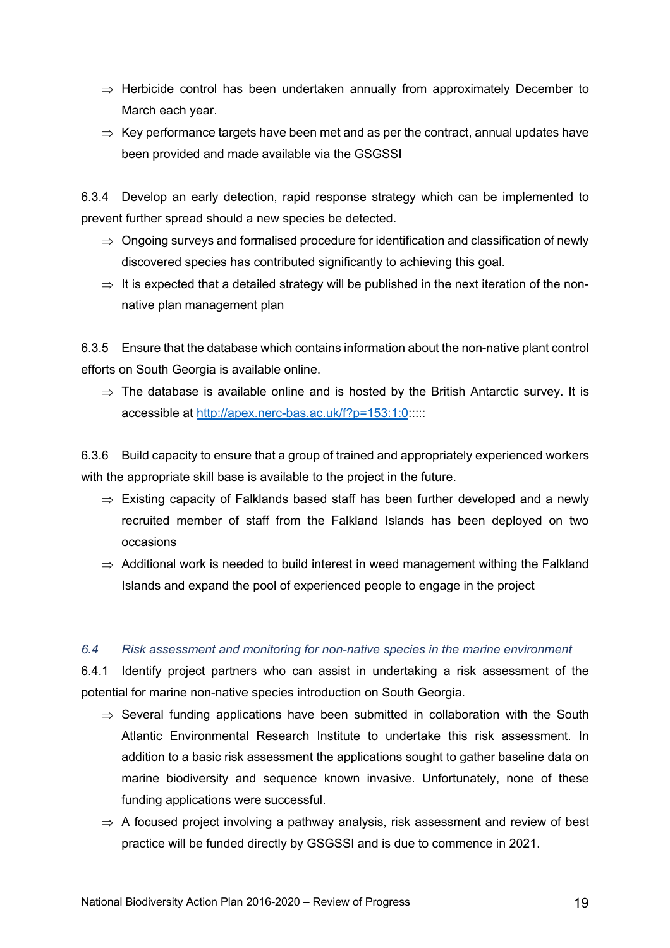- $\Rightarrow$  Herbicide control has been undertaken annually from approximately December to March each year.
- $\Rightarrow$  Key performance targets have been met and as per the contract, annual updates have been provided and made available via the GSGSSI

6.3.4 Develop an early detection, rapid response strategy which can be implemented to prevent further spread should a new species be detected.

- $\Rightarrow$  Ongoing surveys and formalised procedure for identification and classification of newly discovered species has contributed significantly to achieving this goal.
- $\Rightarrow$  It is expected that a detailed strategy will be published in the next iteration of the nonnative plan management plan

6.3.5 Ensure that the database which contains information about the non-native plant control efforts on South Georgia is available online.

 $\Rightarrow$  The database is available online and is hosted by the British Antarctic survey. It is accessible at http://apex.nerc-bas.ac.uk/f?p=153:1:0:::::

6.3.6 Build capacity to ensure that a group of trained and appropriately experienced workers with the appropriate skill base is available to the project in the future.

- $\Rightarrow$  Existing capacity of Falklands based staff has been further developed and a newly recruited member of staff from the Falkland Islands has been deployed on two occasions
- $\Rightarrow$  Additional work is needed to build interest in weed management withing the Falkland Islands and expand the pool of experienced people to engage in the project

### *6.4 Risk assessment and monitoring for non-native species in the marine environment*

6.4.1 Identify project partners who can assist in undertaking a risk assessment of the potential for marine non-native species introduction on South Georgia.

- $\Rightarrow$  Several funding applications have been submitted in collaboration with the South Atlantic Environmental Research Institute to undertake this risk assessment. In addition to a basic risk assessment the applications sought to gather baseline data on marine biodiversity and sequence known invasive. Unfortunately, none of these funding applications were successful.
- $\Rightarrow$  A focused project involving a pathway analysis, risk assessment and review of best practice will be funded directly by GSGSSI and is due to commence in 2021.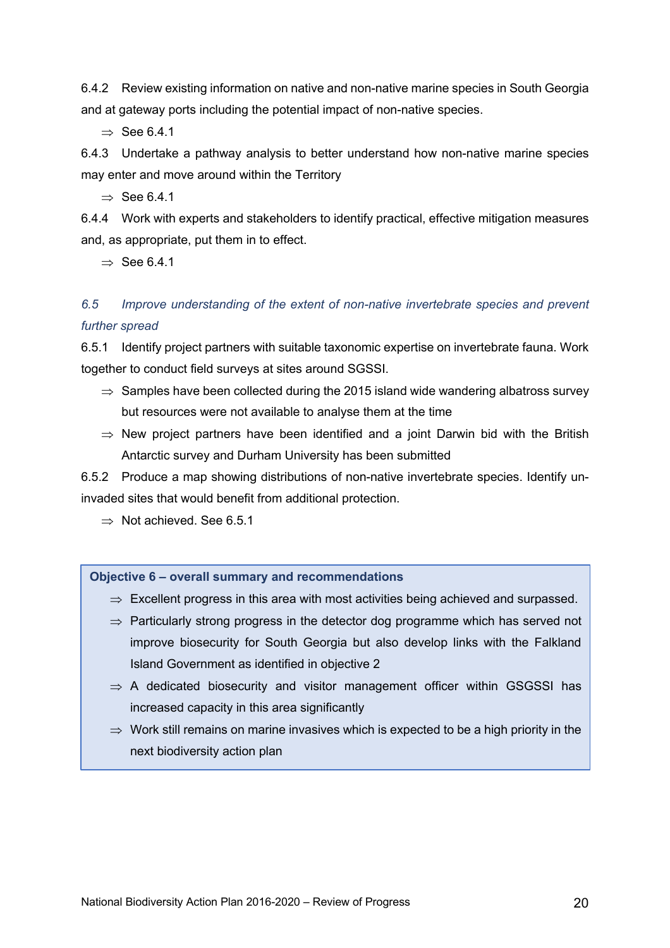6.4.2 Review existing information on native and non-native marine species in South Georgia and at gateway ports including the potential impact of non-native species.

 $\rightarrow$  See 6.4.1

6.4.3 Undertake a pathway analysis to better understand how non-native marine species may enter and move around within the Territory

 $\Rightarrow$  See 6.4.1

6.4.4 Work with experts and stakeholders to identify practical, effective mitigation measures and, as appropriate, put them in to effect.

 $\Rightarrow$  See 6.4.1

### *6.5 Improve understanding of the extent of non-native invertebrate species and prevent further spread*

6.5.1 Identify project partners with suitable taxonomic expertise on invertebrate fauna. Work together to conduct field surveys at sites around SGSSI.

- $\Rightarrow$  Samples have been collected during the 2015 island wide wandering albatross survey but resources were not available to analyse them at the time
- $\Rightarrow$  New project partners have been identified and a joint Darwin bid with the British Antarctic survey and Durham University has been submitted

6.5.2 Produce a map showing distributions of non-native invertebrate species. Identify uninvaded sites that would benefit from additional protection.

 $\Rightarrow$  Not achieved. See 6.5.1

#### **Objective 6 – overall summary and recommendations**

- $\Rightarrow$  Excellent progress in this area with most activities being achieved and surpassed.
- $\Rightarrow$  Particularly strong progress in the detector dog programme which has served not improve biosecurity for South Georgia but also develop links with the Falkland Island Government as identified in objective 2
- $\Rightarrow$  A dedicated biosecurity and visitor management officer within GSGSSI has increased capacity in this area significantly
- $\Rightarrow$  Work still remains on marine invasives which is expected to be a high priority in the next biodiversity action plan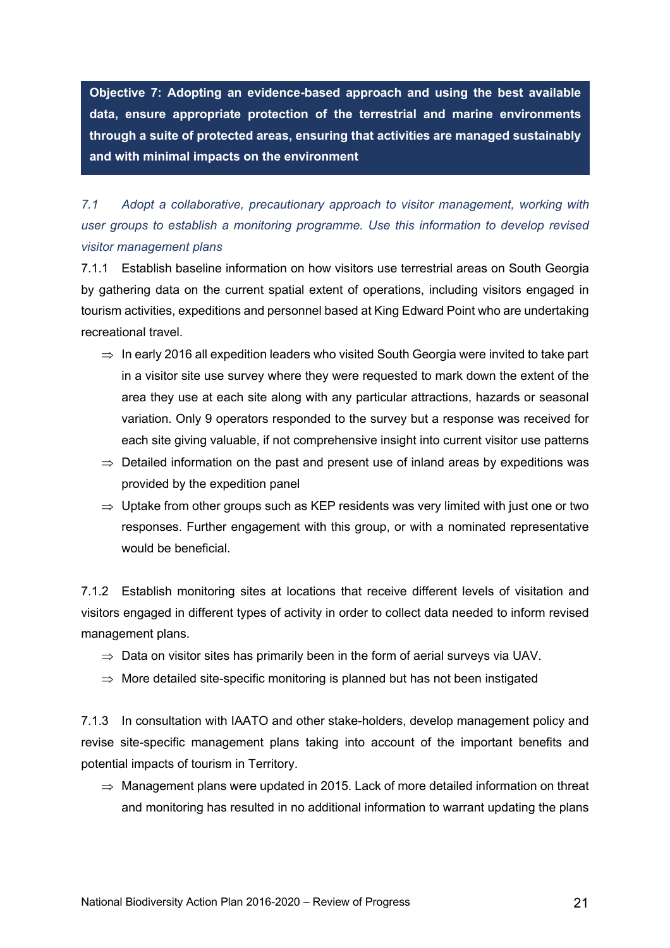**Objective 7: Adopting an evidence-based approach and using the best available data, ensure appropriate protection of the terrestrial and marine environments through a suite of protected areas, ensuring that activities are managed sustainably and with minimal impacts on the environment**

*7.1 Adopt a collaborative, precautionary approach to visitor management, working with user groups to establish a monitoring programme. Use this information to develop revised visitor management plans*

7.1.1 Establish baseline information on how visitors use terrestrial areas on South Georgia by gathering data on the current spatial extent of operations, including visitors engaged in tourism activities, expeditions and personnel based at King Edward Point who are undertaking recreational travel.

- $\Rightarrow$  In early 2016 all expedition leaders who visited South Georgia were invited to take part in a visitor site use survey where they were requested to mark down the extent of the area they use at each site along with any particular attractions, hazards or seasonal variation. Only 9 operators responded to the survey but a response was received for each site giving valuable, if not comprehensive insight into current visitor use patterns
- $\Rightarrow$  Detailed information on the past and present use of inland areas by expeditions was provided by the expedition panel
- $\Rightarrow$  Uptake from other groups such as KEP residents was very limited with just one or two responses. Further engagement with this group, or with a nominated representative would be beneficial.

7.1.2 Establish monitoring sites at locations that receive different levels of visitation and visitors engaged in different types of activity in order to collect data needed to inform revised management plans.

- $\Rightarrow$  Data on visitor sites has primarily been in the form of aerial surveys via UAV.
- $\Rightarrow$  More detailed site-specific monitoring is planned but has not been instigated

7.1.3 In consultation with IAATO and other stake-holders, develop management policy and revise site-specific management plans taking into account of the important benefits and potential impacts of tourism in Territory.

 $\Rightarrow$  Management plans were updated in 2015. Lack of more detailed information on threat and monitoring has resulted in no additional information to warrant updating the plans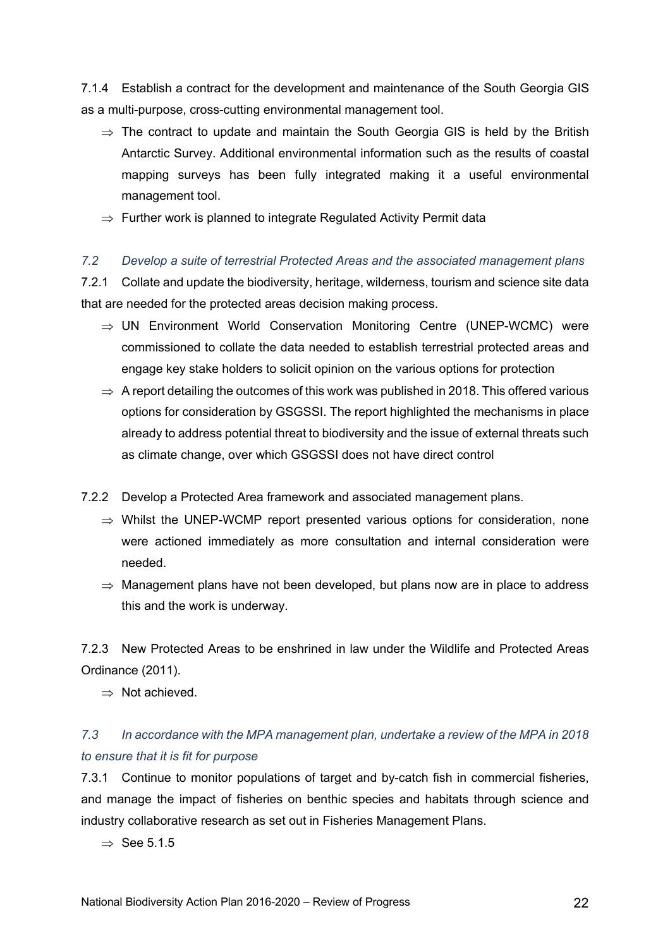7.1.4 Establish a contract for the development and maintenance of the South Georgia GIS as a multi-purpose, cross-cutting environmental management tool.

- $\Rightarrow$  The contract to update and maintain the South Georgia GIS is held by the British Antarctic Survey. Additional environmental information such as the results of coastal mapping surveys has been fully integrated making it a useful environmental management tool.
- $\Rightarrow$  Further work is planned to integrate Regulated Activity Permit data

#### *7.2 Develop a suite of terrestrial Protected Areas and the associated management plans*

7.2.1 Collate and update the biodiversity, heritage, wilderness, tourism and science site data that are needed for the protected areas decision making process.

- $\Rightarrow$  UN Environment World Conservation Monitoring Centre (UNEP-WCMC) were commissioned to collate the data needed to establish terrestrial protected areas and engage key stake holders to solicit opinion on the various options for protection
- $\Rightarrow$  A report detailing the outcomes of this work was published in 2018. This offered various options for consideration by GSGSSI. The report highlighted the mechanisms in place already to address potential threat to biodiversity and the issue of external threats such as climate change, over which GSGSSI does not have direct control
- 7.2.2 Develop a Protected Area framework and associated management plans.
	- $\Rightarrow$  Whilst the UNEP-WCMP report presented various options for consideration, none were actioned immediately as more consultation and internal consideration were needed.
	- $\Rightarrow$  Management plans have not been developed, but plans now are in place to address this and the work is underway.

7.2.3 New Protected Areas to be enshrined in law under the Wildlife and Protected Areas Ordinance (2011).

 $\Rightarrow$  Not achieved.

### *7.3 In accordance with the MPA management plan, undertake a review of the MPA in 2018 to ensure that it is fit for purpose*

7.3.1 Continue to monitor populations of target and by-catch fish in commercial fisheries, and manage the impact of fisheries on benthic species and habitats through science and industry collaborative research as set out in Fisheries Management Plans.

 $\Rightarrow$  See 5.1.5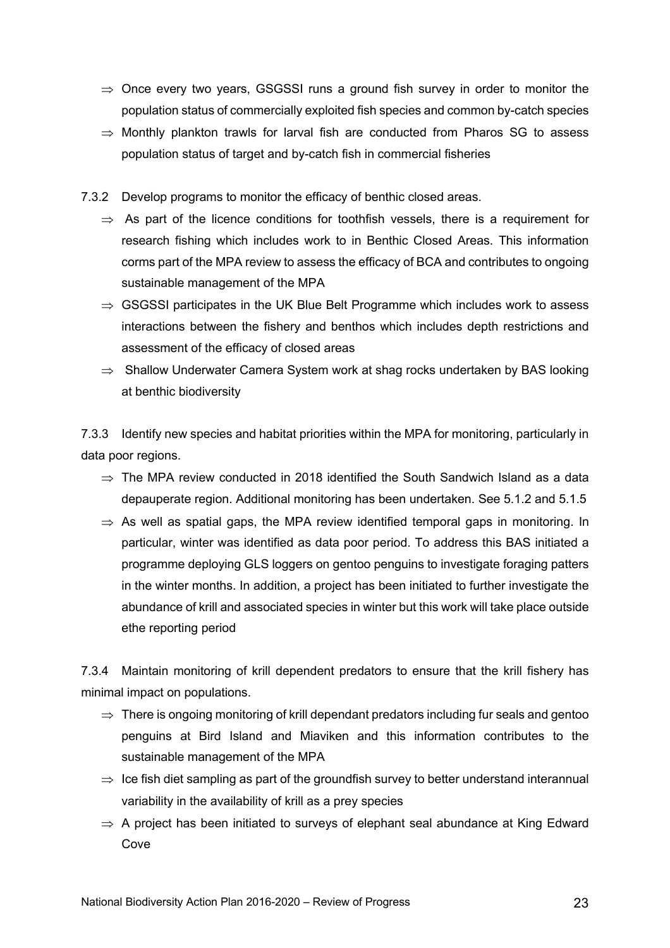- $\Rightarrow$  Once every two years, GSGSSI runs a ground fish survey in order to monitor the population status of commercially exploited fish species and common by-catch species
- $\Rightarrow$  Monthly plankton trawls for larval fish are conducted from Pharos SG to assess population status of target and by-catch fish in commercial fisheries
- 7.3.2 Develop programs to monitor the efficacy of benthic closed areas.
	- $\Rightarrow$  As part of the licence conditions for toothfish vessels, there is a requirement for research fishing which includes work to in Benthic Closed Areas. This information corms part of the MPA review to assess the efficacy of BCA and contributes to ongoing sustainable management of the MPA
	- $\Rightarrow$  GSGSSI participates in the UK Blue Belt Programme which includes work to assess interactions between the fishery and benthos which includes depth restrictions and assessment of the efficacy of closed areas
	- $\Rightarrow$  Shallow Underwater Camera System work at shag rocks undertaken by BAS looking at benthic biodiversity

7.3.3 Identify new species and habitat priorities within the MPA for monitoring, particularly in data poor regions.

- $\Rightarrow$  The MPA review conducted in 2018 identified the South Sandwich Island as a data depauperate region. Additional monitoring has been undertaken. See 5.1.2 and 5.1.5
- $\Rightarrow$  As well as spatial gaps, the MPA review identified temporal gaps in monitoring. In particular, winter was identified as data poor period. To address this BAS initiated a programme deploying GLS loggers on gentoo penguins to investigate foraging patters in the winter months. In addition, a project has been initiated to further investigate the abundance of krill and associated species in winter but this work will take place outside ethe reporting period

7.3.4 Maintain monitoring of krill dependent predators to ensure that the krill fishery has minimal impact on populations.

- $\Rightarrow$  There is ongoing monitoring of krill dependant predators including fur seals and gentoo penguins at Bird Island and Miaviken and this information contributes to the sustainable management of the MPA
- $\Rightarrow$  Ice fish diet sampling as part of the groundfish survey to better understand interannual variability in the availability of krill as a prey species
- $\Rightarrow$  A project has been initiated to surveys of elephant seal abundance at King Edward Cove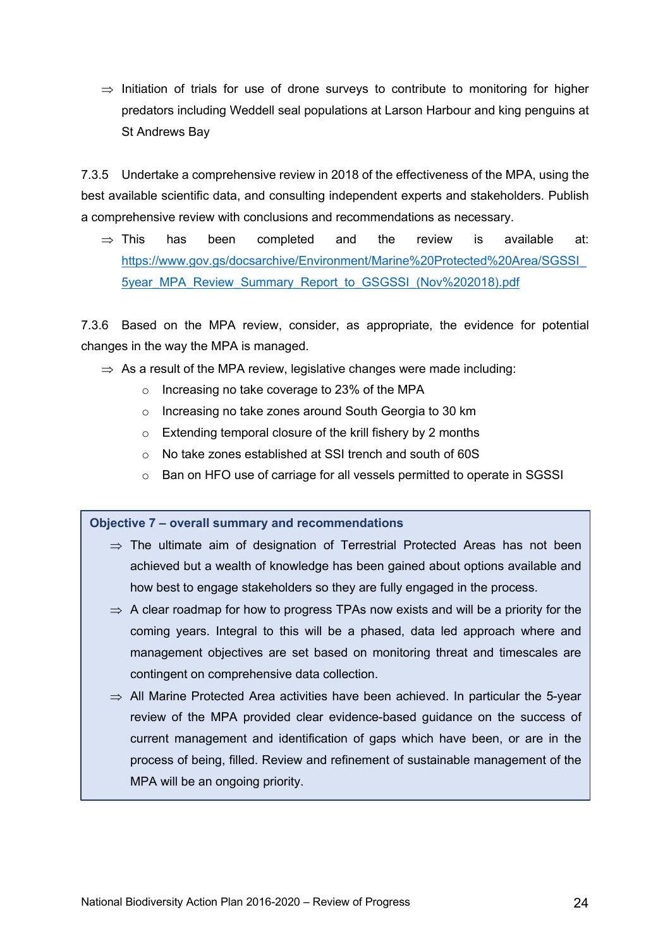$\Rightarrow$  Initiation of trials for use of drone surveys to contribute to monitoring for higher predators including Weddell seal populations at Larson Harbour and king penguins at St Andrews Bay

7.3.5 Undertake a comprehensive review in 2018 of the effectiveness of the MPA, using the best available scientific data, and consulting independent experts and stakeholders. Publish a comprehensive review with conclusions and recommendations as necessary.

 $\Rightarrow$  This has been completed and the review is available at: https://www.gov.gs/docsarchive/Environment/Marine%20Protected%20Area/SGSSI\_ 5year\_MPA\_Review\_Summary\_Report\_to\_GSGSSI\_(Nov%202018).pdf

7.3.6 Based on the MPA review, consider, as appropriate, the evidence for potential changes in the way the MPA is managed.

- $\Rightarrow$  As a result of the MPA review, legislative changes were made including:
	- o Increasing no take coverage to 23% of the MPA
	- o Increasing no take zones around South Georgia to 30 km
	- o Extending temporal closure of the krill fishery by 2 months
	- o No take zones established at SSI trench and south of 60S
	- $\circ$  Ban on HFO use of carriage for all vessels permitted to operate in SGSSI

**Objective 7 – overall summary and recommendations**

- $\Rightarrow$  The ultimate aim of designation of Terrestrial Protected Areas has not been achieved but a wealth of knowledge has been gained about options available and how best to engage stakeholders so they are fully engaged in the process.
- $\Rightarrow$  A clear roadmap for how to progress TPAs now exists and will be a priority for the coming years. Integral to this will be a phased, data led approach where and management objectives are set based on monitoring threat and timescales are contingent on comprehensive data collection.
- $\Rightarrow$  All Marine Protected Area activities have been achieved. In particular the 5-year review of the MPA provided clear evidence-based guidance on the success of current management and identification of gaps which have been, or are in the process of being, filled. Review and refinement of sustainable management of the MPA will be an ongoing priority.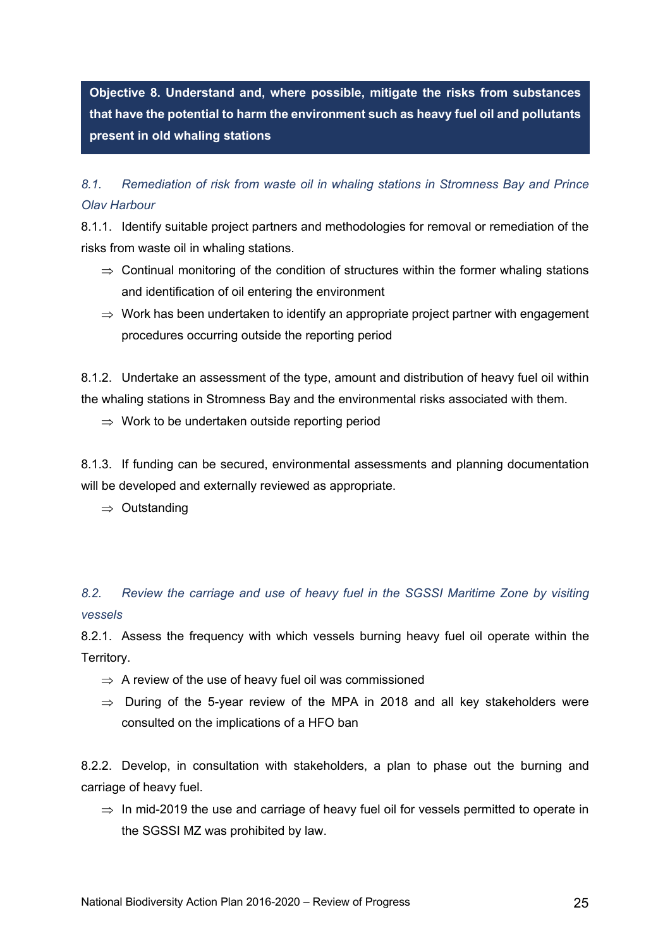**Objective 8. Understand and, where possible, mitigate the risks from substances that have the potential to harm the environment such as heavy fuel oil and pollutants present in old whaling stations**

# *8.1. Remediation of risk from waste oil in whaling stations in Stromness Bay and Prince Olav Harbour*

8.1.1. Identify suitable project partners and methodologies for removal or remediation of the risks from waste oil in whaling stations.

- $\Rightarrow$  Continual monitoring of the condition of structures within the former whaling stations and identification of oil entering the environment
- $\Rightarrow$  Work has been undertaken to identify an appropriate project partner with engagement procedures occurring outside the reporting period

8.1.2. Undertake an assessment of the type, amount and distribution of heavy fuel oil within the whaling stations in Stromness Bay and the environmental risks associated with them.

 $\Rightarrow$  Work to be undertaken outside reporting period

8.1.3. If funding can be secured, environmental assessments and planning documentation will be developed and externally reviewed as appropriate.

 $\Rightarrow$  Outstanding

*8.2. Review the carriage and use of heavy fuel in the SGSSI Maritime Zone by visiting vessels* 

8.2.1. Assess the frequency with which vessels burning heavy fuel oil operate within the Territory.

- $\Rightarrow$  A review of the use of heavy fuel oil was commissioned
- $\Rightarrow$  During of the 5-year review of the MPA in 2018 and all key stakeholders were consulted on the implications of a HFO ban

8.2.2. Develop, in consultation with stakeholders, a plan to phase out the burning and carriage of heavy fuel.

 $\Rightarrow$  In mid-2019 the use and carriage of heavy fuel oil for vessels permitted to operate in the SGSSI MZ was prohibited by law.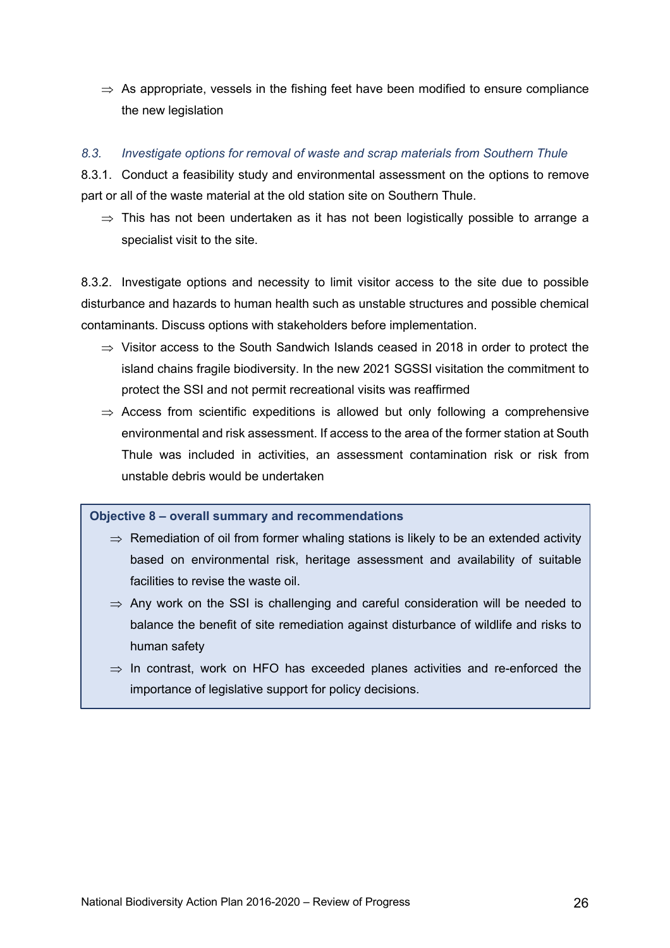$\Rightarrow$  As appropriate, vessels in the fishing feet have been modified to ensure compliance the new legislation

### *8.3. Investigate options for removal of waste and scrap materials from Southern Thule*

8.3.1. Conduct a feasibility study and environmental assessment on the options to remove part or all of the waste material at the old station site on Southern Thule.

 $\Rightarrow$  This has not been undertaken as it has not been logistically possible to arrange a specialist visit to the site.

8.3.2. Investigate options and necessity to limit visitor access to the site due to possible disturbance and hazards to human health such as unstable structures and possible chemical contaminants. Discuss options with stakeholders before implementation.

- $\Rightarrow$  Visitor access to the South Sandwich Islands ceased in 2018 in order to protect the island chains fragile biodiversity. In the new 2021 SGSSI visitation the commitment to protect the SSI and not permit recreational visits was reaffirmed
- $\Rightarrow$  Access from scientific expeditions is allowed but only following a comprehensive environmental and risk assessment. If access to the area of the former station at South Thule was included in activities, an assessment contamination risk or risk from unstable debris would be undertaken

**Objective 8 – overall summary and recommendations**

- $\Rightarrow$  Remediation of oil from former whaling stations is likely to be an extended activity based on environmental risk, heritage assessment and availability of suitable facilities to revise the waste oil.
- $\Rightarrow$  Any work on the SSI is challenging and careful consideration will be needed to balance the benefit of site remediation against disturbance of wildlife and risks to human safety
- $\Rightarrow$  In contrast, work on HFO has exceeded planes activities and re-enforced the importance of legislative support for policy decisions.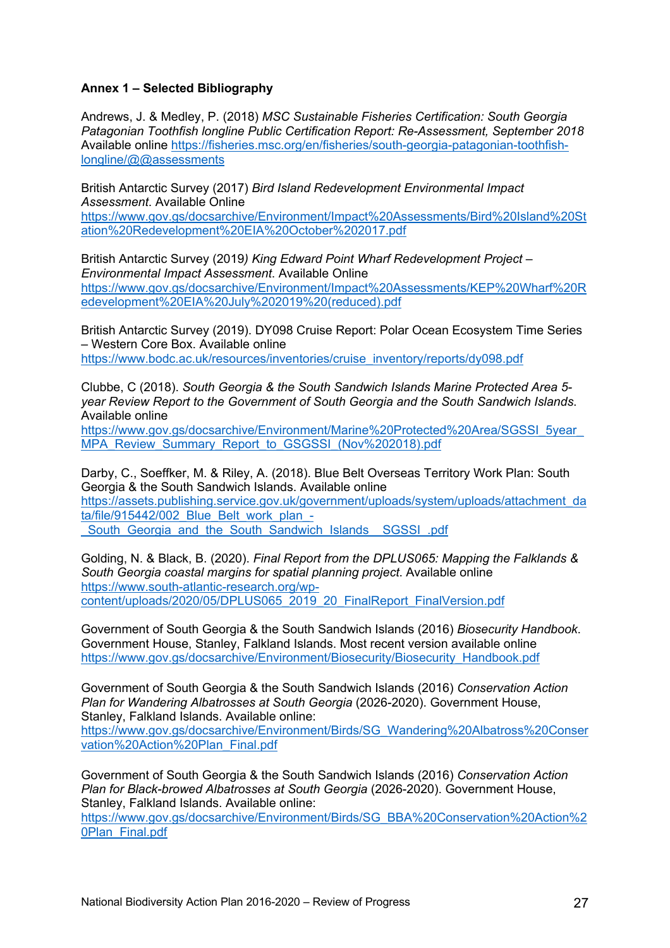#### **Annex 1 – Selected Bibliography**

Andrews, J. & Medley, P. (2018) *MSC Sustainable Fisheries Certification: South Georgia Patagonian Toothfish longline Public Certification Report: Re-Assessment, September 2018* Available online https://fisheries.msc.org/en/fisheries/south-georgia-patagonian-toothfishlongline/@@assessments

British Antarctic Survey (2017) *Bird Island Redevelopment Environmental Impact Assessment*. Available Online

https://www.gov.gs/docsarchive/Environment/Impact%20Assessments/Bird%20Island%20St ation%20Redevelopment%20EIA%20October%202017.pdf

British Antarctic Survey (2019*) King Edward Point Wharf Redevelopment Project – Environmental Impact Assessment*. Available Online https://www.gov.gs/docsarchive/Environment/Impact%20Assessments/KEP%20Wharf%20R edevelopment%20EIA%20July%202019%20(reduced).pdf

British Antarctic Survey (2019). DY098 Cruise Report: Polar Ocean Ecosystem Time Series – Western Core Box. Available online https://www.bodc.ac.uk/resources/inventories/cruise\_inventory/reports/dy098.pdf

Clubbe, C (2018). *South Georgia & the South Sandwich Islands Marine Protected Area 5 year Review Report to the Government of South Georgia and the South Sandwich Islands*. Available online

https://www.gov.gs/docsarchive/Environment/Marine%20Protected%20Area/SGSSI\_5year MPA\_Review\_Summary\_Report\_to\_GSGSSI\_(Nov%202018).pdf

Darby, C., Soeffker, M. & Riley, A. (2018). Blue Belt Overseas Territory Work Plan: South Georgia & the South Sandwich Islands. Available online https://assets.publishing.service.gov.uk/government/uploads/system/uploads/attachment\_da ta/file/915442/002\_Blue\_Belt\_work\_plan\_-South Georgia and the South Sandwich Islands SGSSI .pdf

Golding, N. & Black, B. (2020). *Final Report from the DPLUS065: Mapping the Falklands & South Georgia coastal margins for spatial planning project*. Available online https://www.south-atlantic-research.org/wpcontent/uploads/2020/05/DPLUS065\_2019\_20\_FinalReport\_FinalVersion.pdf

Government of South Georgia & the South Sandwich Islands (2016) *Biosecurity Handbook*. Government House, Stanley, Falkland Islands. Most recent version available online https://www.gov.gs/docsarchive/Environment/Biosecurity/Biosecurity\_Handbook.pdf

Government of South Georgia & the South Sandwich Islands (2016) *Conservation Action Plan for Wandering Albatrosses at South Georgia* (2026-2020). Government House, Stanley, Falkland Islands. Available online:

https://www.gov.gs/docsarchive/Environment/Birds/SG\_Wandering%20Albatross%20Conser vation%20Action%20Plan\_Final.pdf

Government of South Georgia & the South Sandwich Islands (2016) *Conservation Action Plan for Black-browed Albatrosses at South Georgia* (2026-2020). Government House, Stanley, Falkland Islands. Available online:

https://www.gov.gs/docsarchive/Environment/Birds/SG\_BBA%20Conservation%20Action%2 0Plan\_Final.pdf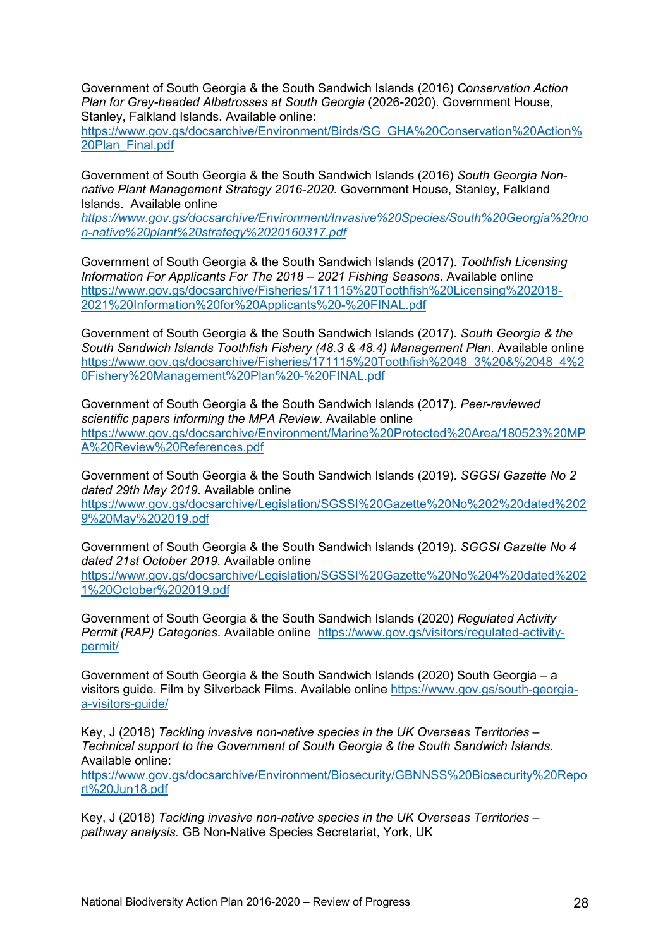Government of South Georgia & the South Sandwich Islands (2016) *Conservation Action Plan for Grey-headed Albatrosses at South Georgia* (2026-2020). Government House, Stanley, Falkland Islands. Available online:

https://www.gov.gs/docsarchive/Environment/Birds/SG\_GHA%20Conservation%20Action% 20Plan\_Final.pdf

Government of South Georgia & the South Sandwich Islands (2016) *South Georgia Nonnative Plant Management Strategy 2016-2020.* Government House, Stanley, Falkland Islands. Available online

*https://www.gov.gs/docsarchive/Environment/Invasive%20Species/South%20Georgia%20no n-native%20plant%20strategy%2020160317.pdf*

Government of South Georgia & the South Sandwich Islands (2017). *Toothfish Licensing Information For Applicants For The 2018 – 2021 Fishing Seasons*. Available online https://www.gov.gs/docsarchive/Fisheries/171115%20Toothfish%20Licensing%202018- 2021%20Information%20for%20Applicants%20-%20FINAL.pdf

Government of South Georgia & the South Sandwich Islands (2017). *South Georgia & the South Sandwich Islands Toothfish Fishery (48.3 & 48.4) Management Plan*. Available online https://www.gov.gs/docsarchive/Fisheries/171115%20Toothfish%2048\_3%20&%2048\_4%2 0Fishery%20Management%20Plan%20-%20FINAL.pdf

Government of South Georgia & the South Sandwich Islands (2017). *Peer-reviewed scientific papers informing the MPA Review*. Available online https://www.gov.gs/docsarchive/Environment/Marine%20Protected%20Area/180523%20MP A%20Review%20References.pdf

Government of South Georgia & the South Sandwich Islands (2019). *SGGSI Gazette No 2 dated 29th May 2019*. Available online https://www.gov.gs/docsarchive/Legislation/SGSSI%20Gazette%20No%202%20dated%202 9%20May%202019.pdf

Government of South Georgia & the South Sandwich Islands (2019). *SGGSI Gazette No 4 dated 21st October 2019.* Available online https://www.gov.gs/docsarchive/Legislation/SGSSI%20Gazette%20No%204%20dated%202 1%20October%202019.pdf

Government of South Georgia & the South Sandwich Islands (2020) *Regulated Activity Permit (RAP) Categories*. Available online https://www.gov.gs/visitors/regulated-activitypermit/

Government of South Georgia & the South Sandwich Islands (2020) South Georgia – a visitors guide. Film by Silverback Films. Available online https://www.gov.gs/south-georgiaa-visitors-guide/

Key, J (2018) *Tackling invasive non-native species in the UK Overseas Territories – Technical support to the Government of South Georgia & the South Sandwich Islands*. Available online:

https://www.gov.gs/docsarchive/Environment/Biosecurity/GBNNSS%20Biosecurity%20Repo rt%20Jun18.pdf

Key, J (2018) *Tackling invasive non-native species in the UK Overseas Territories – pathway analysis.* GB Non-Native Species Secretariat, York, UK